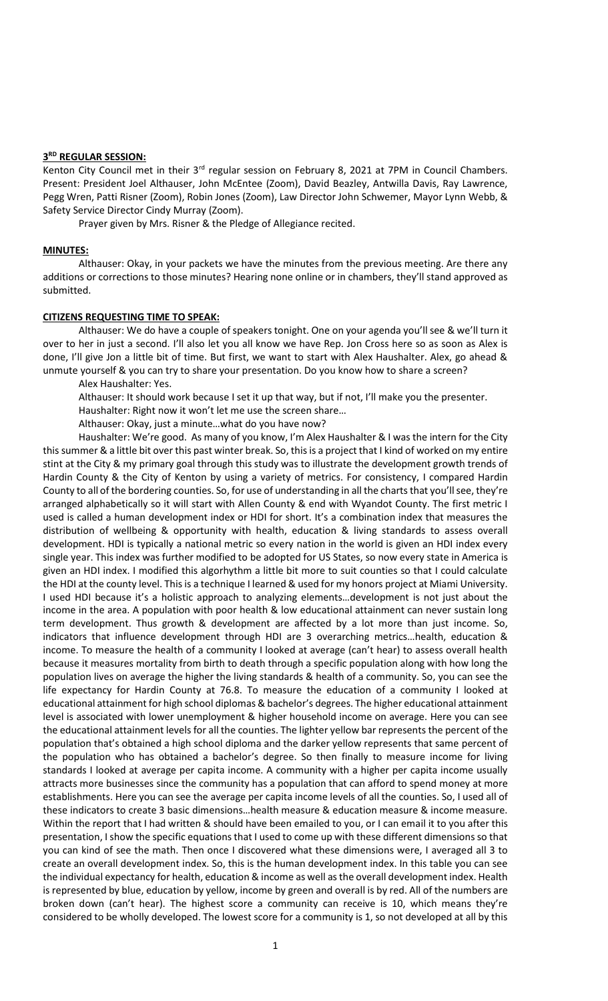## **3 RD REGULAR SESSION:**

Kenton City Council met in their 3<sup>rd</sup> regular session on February 8, 2021 at 7PM in Council Chambers. Present: President Joel Althauser, John McEntee (Zoom), David Beazley, Antwilla Davis, Ray Lawrence, Pegg Wren, Patti Risner (Zoom), Robin Jones (Zoom), Law Director John Schwemer, Mayor Lynn Webb, & Safety Service Director Cindy Murray (Zoom).

Prayer given by Mrs. Risner & the Pledge of Allegiance recited.

#### **MINUTES:**

Althauser: Okay, in your packets we have the minutes from the previous meeting. Are there any additions or corrections to those minutes? Hearing none online or in chambers, they'll stand approved as submitted.

# **CITIZENS REQUESTING TIME TO SPEAK:**

Althauser: We do have a couple of speakers tonight. One on your agenda you'll see & we'll turn it over to her in just a second. I'll also let you all know we have Rep. Jon Cross here so as soon as Alex is done, I'll give Jon a little bit of time. But first, we want to start with Alex Haushalter. Alex, go ahead & unmute yourself & you can try to share your presentation. Do you know how to share a screen?

Alex Haushalter: Yes.

Althauser: It should work because I set it up that way, but if not, I'll make you the presenter.

Haushalter: Right now it won't let me use the screen share…

Althauser: Okay, just a minute…what do you have now?

Haushalter: We're good. As many of you know, I'm Alex Haushalter & I was the intern for the City this summer & a little bit over this past winter break. So, this is a project that I kind of worked on my entire stint at the City & my primary goal through this study was to illustrate the development growth trends of Hardin County & the City of Kenton by using a variety of metrics. For consistency, I compared Hardin County to all of the bordering counties. So, for use of understanding in all the charts that you'll see, they're arranged alphabetically so it will start with Allen County & end with Wyandot County. The first metric I used is called a human development index or HDI for short. It's a combination index that measures the distribution of wellbeing & opportunity with health, education & living standards to assess overall development. HDI is typically a national metric so every nation in the world is given an HDI index every single year. This index was further modified to be adopted for US States, so now every state in America is given an HDI index. I modified this algorhythm a little bit more to suit counties so that I could calculate the HDI at the county level. This is a technique I learned & used for my honors project at Miami University. I used HDI because it's a holistic approach to analyzing elements…development is not just about the income in the area. A population with poor health & low educational attainment can never sustain long term development. Thus growth & development are affected by a lot more than just income. So, indicators that influence development through HDI are 3 overarching metrics…health, education & income. To measure the health of a community I looked at average (can't hear) to assess overall health because it measures mortality from birth to death through a specific population along with how long the population lives on average the higher the living standards & health of a community. So, you can see the life expectancy for Hardin County at 76.8. To measure the education of a community I looked at educational attainment for high school diplomas & bachelor's degrees. The higher educational attainment level is associated with lower unemployment & higher household income on average. Here you can see the educational attainment levels for all the counties. The lighter yellow bar represents the percent of the population that's obtained a high school diploma and the darker yellow represents that same percent of the population who has obtained a bachelor's degree. So then finally to measure income for living standards I looked at average per capita income. A community with a higher per capita income usually attracts more businesses since the community has a population that can afford to spend money at more establishments. Here you can see the average per capita income levels of all the counties. So, I used all of these indicators to create 3 basic dimensions…health measure & education measure & income measure. Within the report that I had written & should have been emailed to you, or I can email it to you after this presentation, I show the specific equations that I used to come up with these different dimensions so that you can kind of see the math. Then once I discovered what these dimensions were, I averaged all 3 to create an overall development index. So, this is the human development index. In this table you can see the individual expectancy for health, education & income as well as the overall development index. Health is represented by blue, education by yellow, income by green and overall is by red. All of the numbers are broken down (can't hear). The highest score a community can receive is 10, which means they're considered to be wholly developed. The lowest score for a community is 1, so not developed at all by this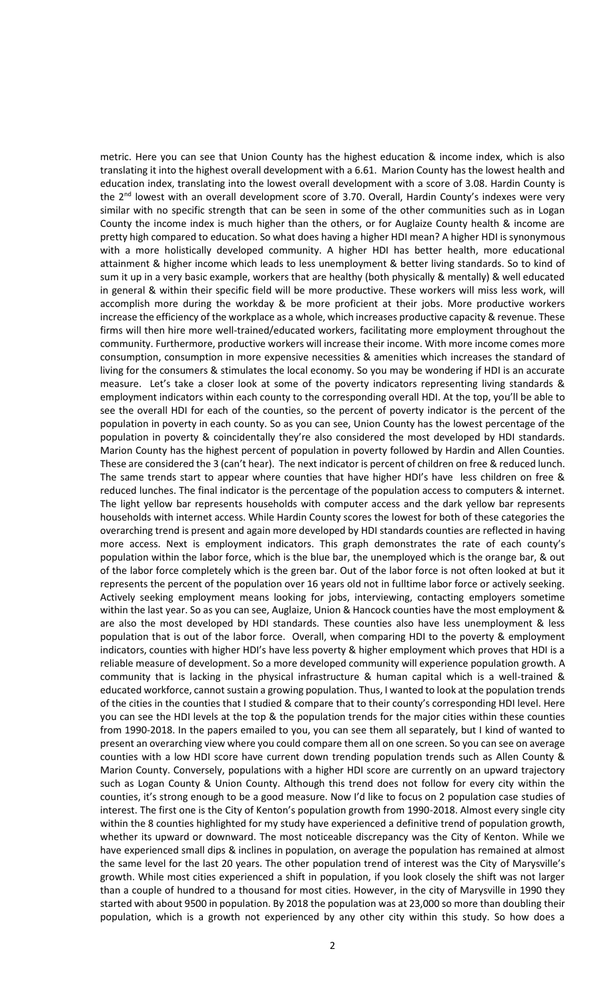metric. Here you can see that Union County has the highest education & income index, which is also translating it into the highest overall development with a 6.61. Marion County has the lowest health and education index, translating into the lowest overall development with a score of 3.08. Hardin County is the 2<sup>nd</sup> lowest with an overall development score of 3.70. Overall, Hardin County's indexes were very similar with no specific strength that can be seen in some of the other communities such as in Logan County the income index is much higher than the others, or for Auglaize County health & income are pretty high compared to education. So what does having a higher HDI mean? A higher HDI is synonymous with a more holistically developed community. A higher HDI has better health, more educational attainment & higher income which leads to less unemployment & better living standards. So to kind of sum it up in a very basic example, workers that are healthy (both physically & mentally) & well educated in general & within their specific field will be more productive. These workers will miss less work, will accomplish more during the workday & be more proficient at their jobs. More productive workers increase the efficiency of the workplace as a whole, which increases productive capacity & revenue. These firms will then hire more well-trained/educated workers, facilitating more employment throughout the community. Furthermore, productive workers will increase their income. With more income comes more consumption, consumption in more expensive necessities & amenities which increases the standard of living for the consumers & stimulates the local economy. So you may be wondering if HDI is an accurate measure. Let's take a closer look at some of the poverty indicators representing living standards & employment indicators within each county to the corresponding overall HDI. At the top, you'll be able to see the overall HDI for each of the counties, so the percent of poverty indicator is the percent of the population in poverty in each county. So as you can see, Union County has the lowest percentage of the population in poverty & coincidentally they're also considered the most developed by HDI standards. Marion County has the highest percent of population in poverty followed by Hardin and Allen Counties. These are considered the 3 (can't hear). The next indicator is percent of children on free & reduced lunch. The same trends start to appear where counties that have higher HDI's have less children on free & reduced lunches. The final indicator is the percentage of the population access to computers & internet. The light yellow bar represents households with computer access and the dark yellow bar represents households with internet access. While Hardin County scores the lowest for both of these categories the overarching trend is present and again more developed by HDI standards counties are reflected in having more access. Next is employment indicators. This graph demonstrates the rate of each county's population within the labor force, which is the blue bar, the unemployed which is the orange bar, & out of the labor force completely which is the green bar. Out of the labor force is not often looked at but it represents the percent of the population over 16 years old not in fulltime labor force or actively seeking. Actively seeking employment means looking for jobs, interviewing, contacting employers sometime within the last year. So as you can see, Auglaize, Union & Hancock counties have the most employment & are also the most developed by HDI standards. These counties also have less unemployment & less population that is out of the labor force. Overall, when comparing HDI to the poverty & employment indicators, counties with higher HDI's have less poverty & higher employment which proves that HDI is a reliable measure of development. So a more developed community will experience population growth. A community that is lacking in the physical infrastructure & human capital which is a well-trained & educated workforce, cannot sustain a growing population. Thus, I wanted to look at the population trends of the cities in the counties that I studied & compare that to their county's corresponding HDI level. Here you can see the HDI levels at the top & the population trends for the major cities within these counties from 1990-2018. In the papers emailed to you, you can see them all separately, but I kind of wanted to present an overarching view where you could compare them all on one screen. So you can see on average counties with a low HDI score have current down trending population trends such as Allen County & Marion County. Conversely, populations with a higher HDI score are currently on an upward trajectory such as Logan County & Union County. Although this trend does not follow for every city within the counties, it's strong enough to be a good measure. Now I'd like to focus on 2 population case studies of interest. The first one is the City of Kenton's population growth from 1990-2018. Almost every single city within the 8 counties highlighted for my study have experienced a definitive trend of population growth, whether its upward or downward. The most noticeable discrepancy was the City of Kenton. While we have experienced small dips & inclines in population, on average the population has remained at almost the same level for the last 20 years. The other population trend of interest was the City of Marysville's growth. While most cities experienced a shift in population, if you look closely the shift was not larger than a couple of hundred to a thousand for most cities. However, in the city of Marysville in 1990 they started with about 9500 in population. By 2018 the population was at 23,000 so more than doubling their population, which is a growth not experienced by any other city within this study. So how does a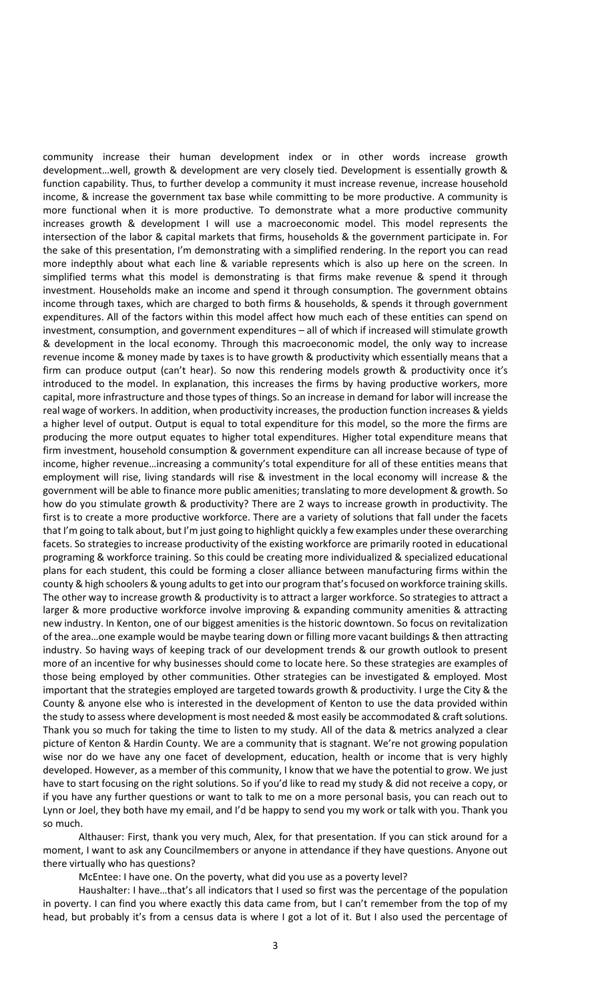community increase their human development index or in other words increase growth development…well, growth & development are very closely tied. Development is essentially growth & function capability. Thus, to further develop a community it must increase revenue, increase household income, & increase the government tax base while committing to be more productive. A community is more functional when it is more productive. To demonstrate what a more productive community increases growth & development I will use a macroeconomic model. This model represents the intersection of the labor & capital markets that firms, households & the government participate in. For the sake of this presentation, I'm demonstrating with a simplified rendering. In the report you can read more indepthly about what each line & variable represents which is also up here on the screen. In simplified terms what this model is demonstrating is that firms make revenue & spend it through investment. Households make an income and spend it through consumption. The government obtains income through taxes, which are charged to both firms & households, & spends it through government expenditures. All of the factors within this model affect how much each of these entities can spend on investment, consumption, and government expenditures – all of which if increased will stimulate growth & development in the local economy. Through this macroeconomic model, the only way to increase revenue income & money made by taxes is to have growth & productivity which essentially means that a firm can produce output (can't hear). So now this rendering models growth & productivity once it's introduced to the model. In explanation, this increases the firms by having productive workers, more capital, more infrastructure and those types of things. So an increase in demand for labor will increase the real wage of workers. In addition, when productivity increases, the production function increases & yields a higher level of output. Output is equal to total expenditure for this model, so the more the firms are producing the more output equates to higher total expenditures. Higher total expenditure means that firm investment, household consumption & government expenditure can all increase because of type of income, higher revenue…increasing a community's total expenditure for all of these entities means that employment will rise, living standards will rise & investment in the local economy will increase & the government will be able to finance more public amenities; translating to more development & growth. So how do you stimulate growth & productivity? There are 2 ways to increase growth in productivity. The first is to create a more productive workforce. There are a variety of solutions that fall under the facets that I'm going to talk about, but I'm just going to highlight quickly a few examples under these overarching facets. So strategies to increase productivity of the existing workforce are primarily rooted in educational programing & workforce training. So this could be creating more individualized & specialized educational plans for each student, this could be forming a closer alliance between manufacturing firms within the county & high schoolers & young adults to get into our program that's focused on workforce training skills. The other way to increase growth & productivity is to attract a larger workforce. So strategies to attract a larger & more productive workforce involve improving & expanding community amenities & attracting new industry. In Kenton, one of our biggest amenities is the historic downtown. So focus on revitalization of the area…one example would be maybe tearing down or filling more vacant buildings & then attracting industry. So having ways of keeping track of our development trends & our growth outlook to present more of an incentive for why businesses should come to locate here. So these strategies are examples of those being employed by other communities. Other strategies can be investigated & employed. Most important that the strategies employed are targeted towards growth & productivity. I urge the City & the County & anyone else who is interested in the development of Kenton to use the data provided within the study to assess where development is most needed & most easily be accommodated & craft solutions. Thank you so much for taking the time to listen to my study. All of the data & metrics analyzed a clear picture of Kenton & Hardin County. We are a community that is stagnant. We're not growing population wise nor do we have any one facet of development, education, health or income that is very highly developed. However, as a member of this community, I know that we have the potential to grow. We just have to start focusing on the right solutions. So if you'd like to read my study & did not receive a copy, or if you have any further questions or want to talk to me on a more personal basis, you can reach out to Lynn or Joel, they both have my email, and I'd be happy to send you my work or talk with you. Thank you so much.

Althauser: First, thank you very much, Alex, for that presentation. If you can stick around for a moment, I want to ask any Councilmembers or anyone in attendance if they have questions. Anyone out there virtually who has questions?

McEntee: I have one. On the poverty, what did you use as a poverty level?

Haushalter: I have…that's all indicators that I used so first was the percentage of the population in poverty. I can find you where exactly this data came from, but I can't remember from the top of my head, but probably it's from a census data is where I got a lot of it. But I also used the percentage of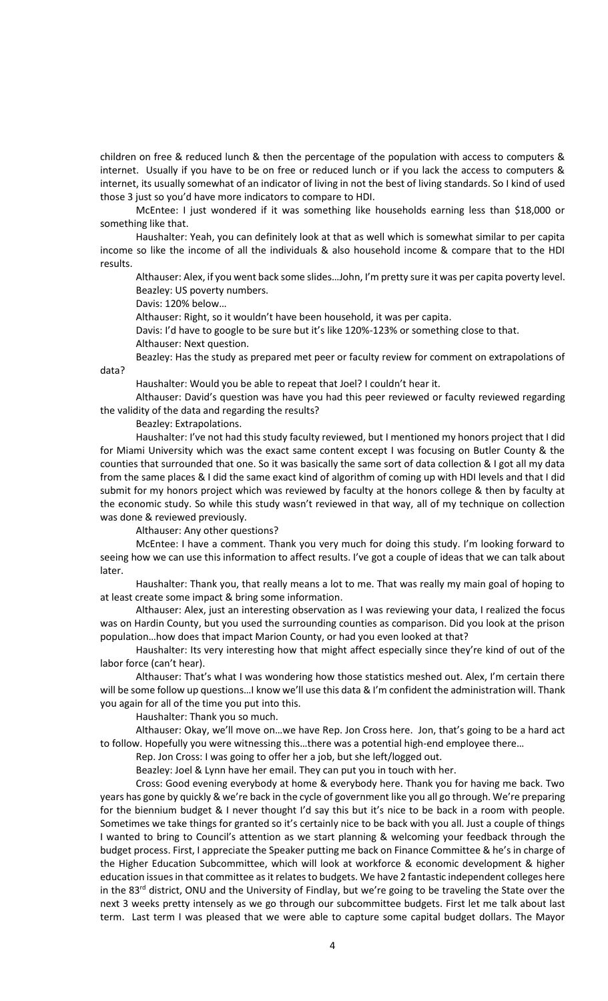children on free & reduced lunch & then the percentage of the population with access to computers & internet. Usually if you have to be on free or reduced lunch or if you lack the access to computers & internet, its usually somewhat of an indicator of living in not the best of living standards. So I kind of used those 3 just so you'd have more indicators to compare to HDI.

McEntee: I just wondered if it was something like households earning less than \$18,000 or something like that.

Haushalter: Yeah, you can definitely look at that as well which is somewhat similar to per capita income so like the income of all the individuals & also household income & compare that to the HDI results.

Althauser: Alex, if you went back some slides…John, I'm pretty sure it was per capita poverty level. Beazley: US poverty numbers.

Davis: 120% below…

Althauser: Right, so it wouldn't have been household, it was per capita.

Davis: I'd have to google to be sure but it's like 120%-123% or something close to that.

Althauser: Next question.

Beazley: Has the study as prepared met peer or faculty review for comment on extrapolations of

data?

Haushalter: Would you be able to repeat that Joel? I couldn't hear it.

Althauser: David's question was have you had this peer reviewed or faculty reviewed regarding the validity of the data and regarding the results?

Beazley: Extrapolations.

Haushalter: I've not had this study faculty reviewed, but I mentioned my honors project that I did for Miami University which was the exact same content except I was focusing on Butler County & the counties that surrounded that one. So it was basically the same sort of data collection & I got all my data from the same places & I did the same exact kind of algorithm of coming up with HDI levels and that I did submit for my honors project which was reviewed by faculty at the honors college & then by faculty at the economic study. So while this study wasn't reviewed in that way, all of my technique on collection was done & reviewed previously.

Althauser: Any other questions?

McEntee: I have a comment. Thank you very much for doing this study. I'm looking forward to seeing how we can use this information to affect results. I've got a couple of ideas that we can talk about later.

Haushalter: Thank you, that really means a lot to me. That was really my main goal of hoping to at least create some impact & bring some information.

Althauser: Alex, just an interesting observation as I was reviewing your data, I realized the focus was on Hardin County, but you used the surrounding counties as comparison. Did you look at the prison population…how does that impact Marion County, or had you even looked at that?

Haushalter: Its very interesting how that might affect especially since they're kind of out of the labor force (can't hear).

Althauser: That's what I was wondering how those statistics meshed out. Alex, I'm certain there will be some follow up questions...I know we'll use this data & I'm confident the administration will. Thank you again for all of the time you put into this.

Haushalter: Thank you so much.

Althauser: Okay, we'll move on…we have Rep. Jon Cross here. Jon, that's going to be a hard act to follow. Hopefully you were witnessing this…there was a potential high-end employee there…

Rep. Jon Cross: I was going to offer her a job, but she left/logged out.

Beazley: Joel & Lynn have her email. They can put you in touch with her.

Cross: Good evening everybody at home & everybody here. Thank you for having me back. Two years has gone by quickly & we're back in the cycle of government like you all go through. We're preparing for the biennium budget & I never thought I'd say this but it's nice to be back in a room with people. Sometimes we take things for granted so it's certainly nice to be back with you all. Just a couple of things I wanted to bring to Council's attention as we start planning & welcoming your feedback through the budget process. First, I appreciate the Speaker putting me back on Finance Committee & he's in charge of the Higher Education Subcommittee, which will look at workforce & economic development & higher education issues in that committee as it relates to budgets. We have 2 fantastic independent colleges here in the 83<sup>rd</sup> district, ONU and the University of Findlay, but we're going to be traveling the State over the next 3 weeks pretty intensely as we go through our subcommittee budgets. First let me talk about last term. Last term I was pleased that we were able to capture some capital budget dollars. The Mayor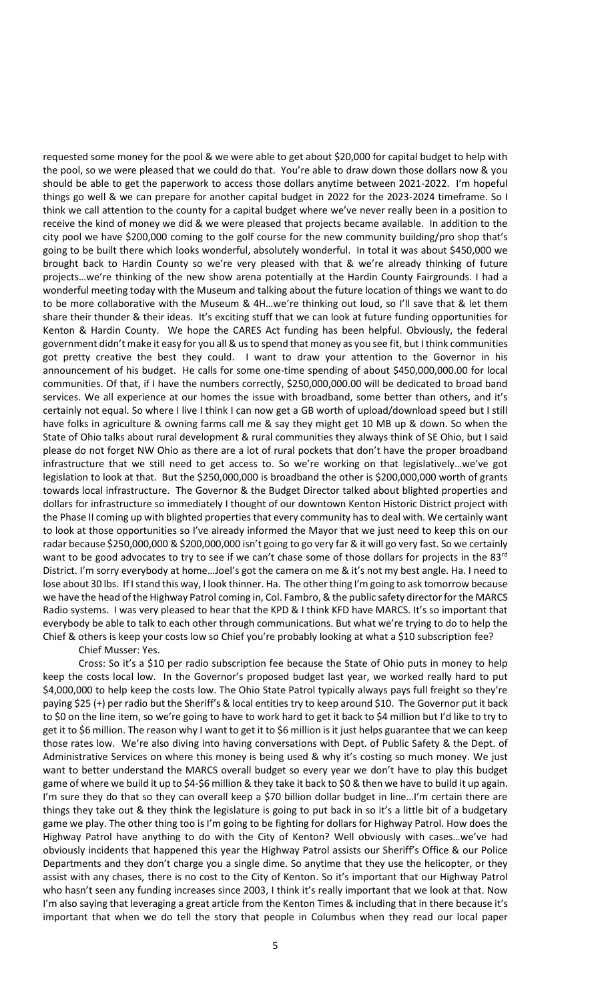requested some money for the pool & we were able to get about \$20,000 for capital budget to help with the pool, so we were pleased that we could do that. You're able to draw down those dollars now & you should be able to get the paperwork to access those dollars anytime between 2021-2022. I'm hopeful things go well & we can prepare for another capital budget in 2022 for the 2023-2024 timeframe. So I think we call attention to the county for a capital budget where we've never really been in a position to receive the kind of money we did & we were pleased that projects became available. In addition to the city pool we have \$200,000 coming to the golf course for the new community building/pro shop that's going to be built there which looks wonderful, absolutely wonderful. In total it was about \$450,000 we brought back to Hardin County so we're very pleased with that & we're already thinking of future projects…we're thinking of the new show arena potentially at the Hardin County Fairgrounds. I had a wonderful meeting today with the Museum and talking about the future location of things we want to do to be more collaborative with the Museum & 4H...we're thinking out loud, so I'll save that & let them share their thunder & their ideas. It's exciting stuff that we can look at future funding opportunities for Kenton & Hardin County. We hope the CARES Act funding has been helpful. Obviously, the federal government didn't make it easy for you all & us to spend that money as you see fit, but I think communities got pretty creative the best they could. I want to draw your attention to the Governor in his announcement of his budget. He calls for some one-time spending of about \$450,000,000.00 for local communities. Of that, if I have the numbers correctly, \$250,000,000.00 will be dedicated to broad band services. We all experience at our homes the issue with broadband, some better than others, and it's certainly not equal. So where I live I think I can now get a GB worth of upload/download speed but I still have folks in agriculture & owning farms call me & say they might get 10 MB up & down. So when the State of Ohio talks about rural development & rural communities they always think of SE Ohio, but I said please do not forget NW Ohio as there are a lot of rural pockets that don't have the proper broadband infrastructure that we still need to get access to. So we're working on that legislatively…we've got legislation to look at that. But the \$250,000,000 is broadband the other is \$200,000,000 worth of grants towards local infrastructure. The Governor & the Budget Director talked about blighted properties and dollars for infrastructure so immediately I thought of our downtown Kenton Historic District project with the Phase II coming up with blighted properties that every community has to deal with. We certainly want to look at those opportunities so I've already informed the Mayor that we just need to keep this on our radar because \$250,000,000 & \$200,000,000 isn't going to go very far & it will go very fast. So we certainly want to be good advocates to try to see if we can't chase some of those dollars for projects in the 83<sup>rd</sup> District. I'm sorry everybody at home…Joel's got the camera on me & it's not my best angle. Ha. I need to lose about 30 lbs. If I stand this way, I look thinner. Ha. The other thing I'm going to ask tomorrow because we have the head of the Highway Patrol coming in, Col. Fambro, & the public safety director for the MARCS Radio systems. I was very pleased to hear that the KPD & I think KFD have MARCS. It's so important that everybody be able to talk to each other through communications. But what we're trying to do to help the Chief & others is keep your costs low so Chief you're probably looking at what a \$10 subscription fee?

Chief Musser: Yes.

Cross: So it's a \$10 per radio subscription fee because the State of Ohio puts in money to help keep the costs local low. In the Governor's proposed budget last year, we worked really hard to put \$4,000,000 to help keep the costs low. The Ohio State Patrol typically always pays full freight so they're paying \$25 (+) per radio but the Sheriff's & local entities try to keep around \$10. The Governor put it back to \$0 on the line item, so we're going to have to work hard to get it back to \$4 million but I'd like to try to get it to \$6 million. The reason why I want to get it to \$6 million is it just helps guarantee that we can keep those rates low. We're also diving into having conversations with Dept. of Public Safety & the Dept. of Administrative Services on where this money is being used & why it's costing so much money. We just want to better understand the MARCS overall budget so every year we don't have to play this budget game of where we build it up to \$4-\$6 million & they take it back to \$0 & then we have to build it up again. I'm sure they do that so they can overall keep a \$70 billion dollar budget in line…I'm certain there are things they take out & they think the legislature is going to put back in so it's a little bit of a budgetary game we play. The other thing too is I'm going to be fighting for dollars for Highway Patrol. How does the Highway Patrol have anything to do with the City of Kenton? Well obviously with cases…we've had obviously incidents that happened this year the Highway Patrol assists our Sheriff's Office & our Police Departments and they don't charge you a single dime. So anytime that they use the helicopter, or they assist with any chases, there is no cost to the City of Kenton. So it's important that our Highway Patrol who hasn't seen any funding increases since 2003, I think it's really important that we look at that. Now I'm also saying that leveraging a great article from the Kenton Times & including that in there because it's important that when we do tell the story that people in Columbus when they read our local paper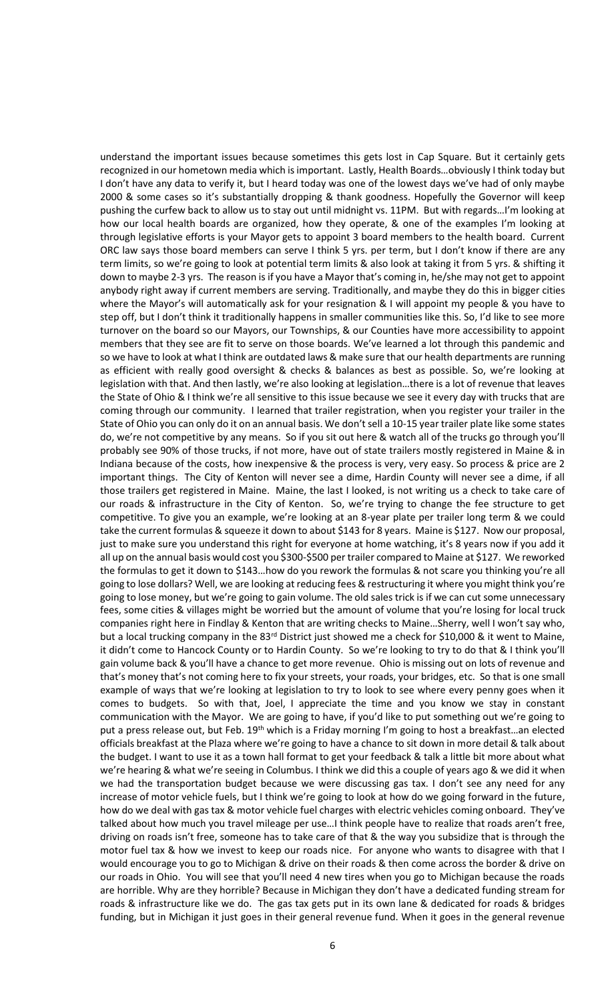understand the important issues because sometimes this gets lost in Cap Square. But it certainly gets recognized in our hometown media which is important. Lastly, Health Boards…obviously I think today but I don't have any data to verify it, but I heard today was one of the lowest days we've had of only maybe 2000 & some cases so it's substantially dropping & thank goodness. Hopefully the Governor will keep pushing the curfew back to allow us to stay out until midnight vs. 11PM. But with regards…I'm looking at how our local health boards are organized, how they operate, & one of the examples I'm looking at through legislative efforts is your Mayor gets to appoint 3 board members to the health board. Current ORC law says those board members can serve I think 5 yrs. per term, but I don't know if there are any term limits, so we're going to look at potential term limits & also look at taking it from 5 yrs. & shifting it down to maybe 2-3 yrs. The reason is if you have a Mayor that's coming in, he/she may not get to appoint anybody right away if current members are serving. Traditionally, and maybe they do this in bigger cities where the Mayor's will automatically ask for your resignation & I will appoint my people & you have to step off, but I don't think it traditionally happens in smaller communities like this. So, I'd like to see more turnover on the board so our Mayors, our Townships, & our Counties have more accessibility to appoint members that they see are fit to serve on those boards. We've learned a lot through this pandemic and so we have to look at what I think are outdated laws & make sure that our health departments are running as efficient with really good oversight & checks & balances as best as possible. So, we're looking at legislation with that. And then lastly, we're also looking at legislation…there is a lot of revenue that leaves the State of Ohio & I think we're all sensitive to this issue because we see it every day with trucks that are coming through our community. I learned that trailer registration, when you register your trailer in the State of Ohio you can only do it on an annual basis. We don't sell a 10-15 year trailer plate like some states do, we're not competitive by any means. So if you sit out here & watch all of the trucks go through you'll probably see 90% of those trucks, if not more, have out of state trailers mostly registered in Maine & in Indiana because of the costs, how inexpensive & the process is very, very easy. So process & price are 2 important things. The City of Kenton will never see a dime, Hardin County will never see a dime, if all those trailers get registered in Maine. Maine, the last I looked, is not writing us a check to take care of our roads & infrastructure in the City of Kenton. So, we're trying to change the fee structure to get competitive. To give you an example, we're looking at an 8-year plate per trailer long term & we could take the current formulas & squeeze it down to about \$143 for 8 years. Maine is \$127. Now our proposal, just to make sure you understand this right for everyone at home watching, it's 8 years now if you add it all up on the annual basis would cost you \$300-\$500 per trailer compared to Maine at \$127. We reworked the formulas to get it down to \$143…how do you rework the formulas & not scare you thinking you're all going to lose dollars? Well, we are looking at reducing fees & restructuring it where you might think you're going to lose money, but we're going to gain volume. The old sales trick is if we can cut some unnecessary fees, some cities & villages might be worried but the amount of volume that you're losing for local truck companies right here in Findlay & Kenton that are writing checks to Maine…Sherry, well I won't say who, but a local trucking company in the 83<sup>rd</sup> District just showed me a check for \$10,000 & it went to Maine, it didn't come to Hancock County or to Hardin County. So we're looking to try to do that & I think you'll gain volume back & you'll have a chance to get more revenue. Ohio is missing out on lots of revenue and that's money that's not coming here to fix your streets, your roads, your bridges, etc. So that is one small example of ways that we're looking at legislation to try to look to see where every penny goes when it comes to budgets. So with that, Joel, I appreciate the time and you know we stay in constant communication with the Mayor. We are going to have, if you'd like to put something out we're going to put a press release out, but Feb. 19<sup>th</sup> which is a Friday morning I'm going to host a breakfast...an elected officials breakfast at the Plaza where we're going to have a chance to sit down in more detail & talk about the budget. I want to use it as a town hall format to get your feedback & talk a little bit more about what we're hearing & what we're seeing in Columbus. I think we did this a couple of years ago & we did it when we had the transportation budget because we were discussing gas tax. I don't see any need for any increase of motor vehicle fuels, but I think we're going to look at how do we going forward in the future, how do we deal with gas tax & motor vehicle fuel charges with electric vehicles coming onboard. They've talked about how much you travel mileage per use…I think people have to realize that roads aren't free, driving on roads isn't free, someone has to take care of that & the way you subsidize that is through the motor fuel tax & how we invest to keep our roads nice. For anyone who wants to disagree with that I would encourage you to go to Michigan & drive on their roads & then come across the border & drive on our roads in Ohio. You will see that you'll need 4 new tires when you go to Michigan because the roads are horrible. Why are they horrible? Because in Michigan they don't have a dedicated funding stream for roads & infrastructure like we do. The gas tax gets put in its own lane & dedicated for roads & bridges funding, but in Michigan it just goes in their general revenue fund. When it goes in the general revenue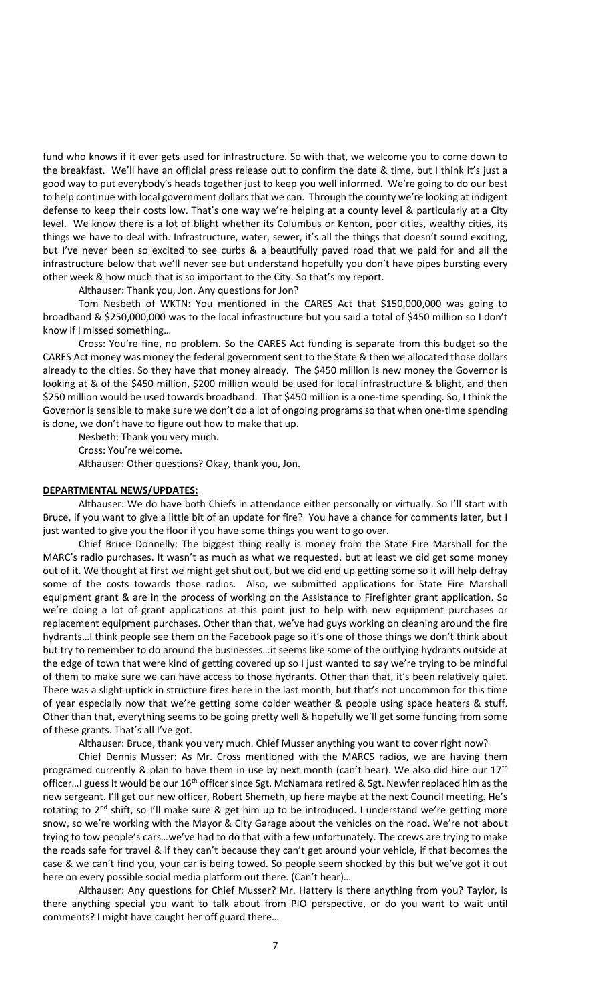fund who knows if it ever gets used for infrastructure. So with that, we welcome you to come down to the breakfast. We'll have an official press release out to confirm the date & time, but I think it's just a good way to put everybody's heads together just to keep you well informed. We're going to do our best to help continue with local government dollars that we can. Through the county we're looking at indigent defense to keep their costs low. That's one way we're helping at a county level & particularly at a City level. We know there is a lot of blight whether its Columbus or Kenton, poor cities, wealthy cities, its things we have to deal with. Infrastructure, water, sewer, it's all the things that doesn't sound exciting, but I've never been so excited to see curbs & a beautifully paved road that we paid for and all the infrastructure below that we'll never see but understand hopefully you don't have pipes bursting every other week & how much that is so important to the City. So that's my report.

Althauser: Thank you, Jon. Any questions for Jon?

Tom Nesbeth of WKTN: You mentioned in the CARES Act that \$150,000,000 was going to broadband & \$250,000,000 was to the local infrastructure but you said a total of \$450 million so I don't know if I missed something…

Cross: You're fine, no problem. So the CARES Act funding is separate from this budget so the CARES Act money was money the federal government sent to the State & then we allocated those dollars already to the cities. So they have that money already. The \$450 million is new money the Governor is looking at & of the \$450 million, \$200 million would be used for local infrastructure & blight, and then \$250 million would be used towards broadband. That \$450 million is a one-time spending. So, I think the Governor is sensible to make sure we don't do a lot of ongoing programs so that when one-time spending is done, we don't have to figure out how to make that up.

Nesbeth: Thank you very much. Cross: You're welcome.

Althauser: Other questions? Okay, thank you, Jon.

## **DEPARTMENTAL NEWS/UPDATES:**

Althauser: We do have both Chiefs in attendance either personally or virtually. So I'll start with Bruce, if you want to give a little bit of an update for fire? You have a chance for comments later, but I just wanted to give you the floor if you have some things you want to go over.

Chief Bruce Donnelly: The biggest thing really is money from the State Fire Marshall for the MARC's radio purchases. It wasn't as much as what we requested, but at least we did get some money out of it. We thought at first we might get shut out, but we did end up getting some so it will help defray some of the costs towards those radios. Also, we submitted applications for State Fire Marshall equipment grant & are in the process of working on the Assistance to Firefighter grant application. So we're doing a lot of grant applications at this point just to help with new equipment purchases or replacement equipment purchases. Other than that, we've had guys working on cleaning around the fire hydrants…I think people see them on the Facebook page so it's one of those things we don't think about but try to remember to do around the businesses…it seems like some of the outlying hydrants outside at the edge of town that were kind of getting covered up so I just wanted to say we're trying to be mindful of them to make sure we can have access to those hydrants. Other than that, it's been relatively quiet. There was a slight uptick in structure fires here in the last month, but that's not uncommon for this time of year especially now that we're getting some colder weather & people using space heaters & stuff. Other than that, everything seems to be going pretty well & hopefully we'll get some funding from some of these grants. That's all I've got.

Althauser: Bruce, thank you very much. Chief Musser anything you want to cover right now?

Chief Dennis Musser: As Mr. Cross mentioned with the MARCS radios, we are having them programed currently & plan to have them in use by next month (can't hear). We also did hire our  $17<sup>th</sup>$ officer...I guess it would be our 16<sup>th</sup> officer since Sgt. McNamara retired & Sgt. Newfer replaced him as the new sergeant. I'll get our new officer, Robert Shemeth, up here maybe at the next Council meeting. He's rotating to 2<sup>nd</sup> shift, so I'll make sure & get him up to be introduced. I understand we're getting more snow, so we're working with the Mayor & City Garage about the vehicles on the road. We're not about trying to tow people's cars…we've had to do that with a few unfortunately. The crews are trying to make the roads safe for travel & if they can't because they can't get around your vehicle, if that becomes the case & we can't find you, your car is being towed. So people seem shocked by this but we've got it out here on every possible social media platform out there. (Can't hear)…

Althauser: Any questions for Chief Musser? Mr. Hattery is there anything from you? Taylor, is there anything special you want to talk about from PIO perspective, or do you want to wait until comments? I might have caught her off guard there…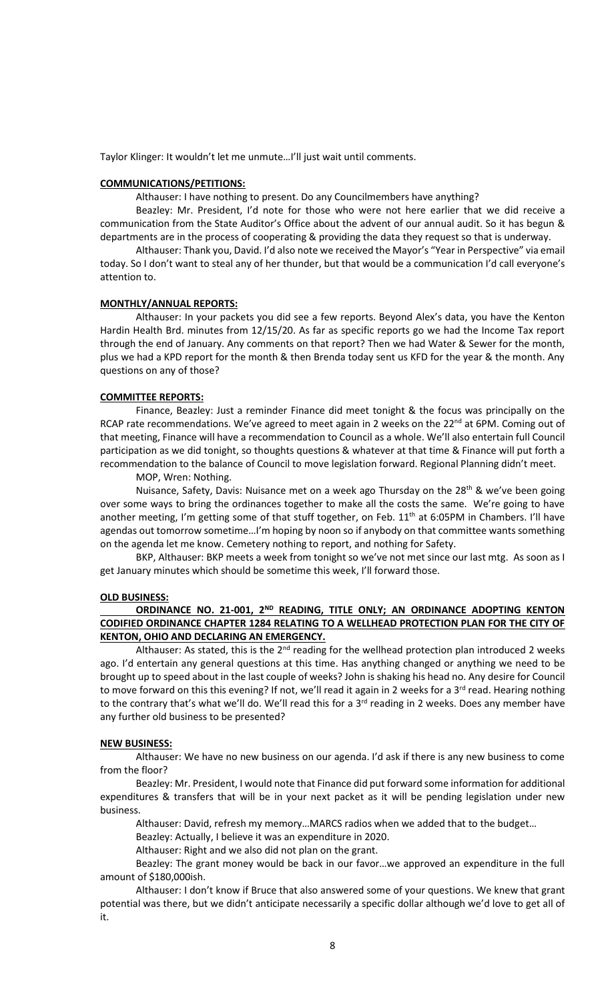Taylor Klinger: It wouldn't let me unmute…I'll just wait until comments.

## **COMMUNICATIONS/PETITIONS:**

Althauser: I have nothing to present. Do any Councilmembers have anything?

Beazley: Mr. President, I'd note for those who were not here earlier that we did receive a communication from the State Auditor's Office about the advent of our annual audit. So it has begun & departments are in the process of cooperating & providing the data they request so that is underway.

Althauser: Thank you, David. I'd also note we received the Mayor's "Year in Perspective" via email today. So I don't want to steal any of her thunder, but that would be a communication I'd call everyone's attention to.

#### **MONTHLY/ANNUAL REPORTS:**

Althauser: In your packets you did see a few reports. Beyond Alex's data, you have the Kenton Hardin Health Brd. minutes from 12/15/20. As far as specific reports go we had the Income Tax report through the end of January. Any comments on that report? Then we had Water & Sewer for the month, plus we had a KPD report for the month & then Brenda today sent us KFD for the year & the month. Any questions on any of those?

### **COMMITTEE REPORTS:**

Finance, Beazley: Just a reminder Finance did meet tonight & the focus was principally on the RCAP rate recommendations. We've agreed to meet again in 2 weeks on the 22<sup>nd</sup> at 6PM. Coming out of that meeting, Finance will have a recommendation to Council as a whole. We'll also entertain full Council participation as we did tonight, so thoughts questions & whatever at that time & Finance will put forth a recommendation to the balance of Council to move legislation forward. Regional Planning didn't meet.

MOP, Wren: Nothing.

Nuisance, Safety, Davis: Nuisance met on a week ago Thursday on the 28<sup>th</sup> & we've been going over some ways to bring the ordinances together to make all the costs the same. We're going to have another meeting, I'm getting some of that stuff together, on Feb. 11<sup>th</sup> at 6:05PM in Chambers. I'll have agendas out tomorrow sometime…I'm hoping by noon so if anybody on that committee wants something on the agenda let me know. Cemetery nothing to report, and nothing for Safety.

BKP, Althauser: BKP meets a week from tonight so we've not met since our last mtg. As soon as I get January minutes which should be sometime this week, I'll forward those.

## **OLD BUSINESS:**

# ORDINANCE NO. 21-001, 2<sup>ND</sup> READING, TITLE ONLY; AN ORDINANCE ADOPTING KENTON **CODIFIED ORDINANCE CHAPTER 1284 RELATING TO A WELLHEAD PROTECTION PLAN FOR THE CITY OF KENTON, OHIO AND DECLARING AN EMERGENCY.**

Althauser: As stated, this is the  $2^{nd}$  reading for the wellhead protection plan introduced 2 weeks ago. I'd entertain any general questions at this time. Has anything changed or anything we need to be brought up to speed about in the last couple of weeks? John is shaking his head no. Any desire for Council to move forward on this this evening? If not, we'll read it again in 2 weeks for a 3<sup>rd</sup> read. Hearing nothing to the contrary that's what we'll do. We'll read this for a 3<sup>rd</sup> reading in 2 weeks. Does any member have any further old business to be presented?

#### **NEW BUSINESS:**

Althauser: We have no new business on our agenda. I'd ask if there is any new business to come from the floor?

Beazley: Mr. President, I would note that Finance did put forward some information for additional expenditures & transfers that will be in your next packet as it will be pending legislation under new business.

Althauser: David, refresh my memory…MARCS radios when we added that to the budget…

Beazley: Actually, I believe it was an expenditure in 2020.

Althauser: Right and we also did not plan on the grant.

Beazley: The grant money would be back in our favor…we approved an expenditure in the full amount of \$180,000ish.

Althauser: I don't know if Bruce that also answered some of your questions. We knew that grant potential was there, but we didn't anticipate necessarily a specific dollar although we'd love to get all of it.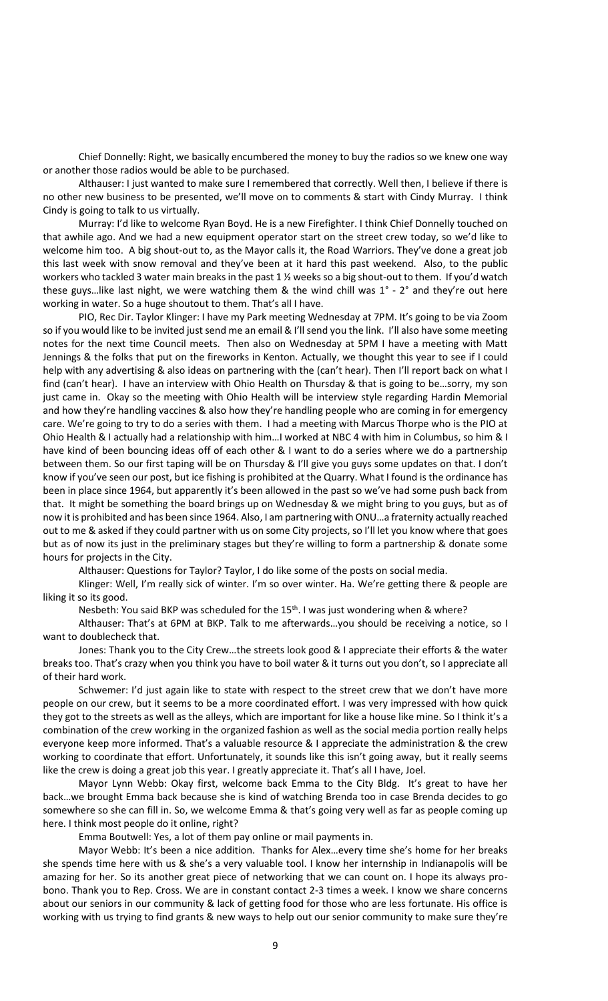Chief Donnelly: Right, we basically encumbered the money to buy the radios so we knew one way or another those radios would be able to be purchased.

Althauser: I just wanted to make sure I remembered that correctly. Well then, I believe if there is no other new business to be presented, we'll move on to comments & start with Cindy Murray. I think Cindy is going to talk to us virtually.

Murray: I'd like to welcome Ryan Boyd. He is a new Firefighter. I think Chief Donnelly touched on that awhile ago. And we had a new equipment operator start on the street crew today, so we'd like to welcome him too. A big shout-out to, as the Mayor calls it, the Road Warriors. They've done a great job this last week with snow removal and they've been at it hard this past weekend. Also, to the public workers who tackled 3 water main breaks in the past 1 % weeks so a big shout-out to them. If you'd watch these guys…like last night, we were watching them & the wind chill was 1° - 2° and they're out here working in water. So a huge shoutout to them. That's all I have.

PIO, Rec Dir. Taylor Klinger: I have my Park meeting Wednesday at 7PM. It's going to be via Zoom so if you would like to be invited just send me an email & I'll send you the link. I'll also have some meeting notes for the next time Council meets. Then also on Wednesday at 5PM I have a meeting with Matt Jennings & the folks that put on the fireworks in Kenton. Actually, we thought this year to see if I could help with any advertising & also ideas on partnering with the (can't hear). Then I'll report back on what I find (can't hear). I have an interview with Ohio Health on Thursday & that is going to be…sorry, my son just came in. Okay so the meeting with Ohio Health will be interview style regarding Hardin Memorial and how they're handling vaccines & also how they're handling people who are coming in for emergency care. We're going to try to do a series with them. I had a meeting with Marcus Thorpe who is the PIO at Ohio Health & I actually had a relationship with him…I worked at NBC 4 with him in Columbus, so him & I have kind of been bouncing ideas off of each other & I want to do a series where we do a partnership between them. So our first taping will be on Thursday & I'll give you guys some updates on that. I don't know if you've seen our post, but ice fishing is prohibited at the Quarry. What I found is the ordinance has been in place since 1964, but apparently it's been allowed in the past so we've had some push back from that. It might be something the board brings up on Wednesday & we might bring to you guys, but as of now it is prohibited and has been since 1964. Also, I am partnering with ONU…a fraternity actually reached out to me & asked if they could partner with us on some City projects, so I'll let you know where that goes but as of now its just in the preliminary stages but they're willing to form a partnership & donate some hours for projects in the City.

Althauser: Questions for Taylor? Taylor, I do like some of the posts on social media.

Klinger: Well, I'm really sick of winter. I'm so over winter. Ha. We're getting there & people are liking it so its good.

Nesbeth: You said BKP was scheduled for the  $15<sup>th</sup>$ . I was just wondering when & where?

Althauser: That's at 6PM at BKP. Talk to me afterwards…you should be receiving a notice, so I want to doublecheck that.

Jones: Thank you to the City Crew…the streets look good & I appreciate their efforts & the water breaks too. That's crazy when you think you have to boil water & it turns out you don't, so I appreciate all of their hard work.

Schwemer: I'd just again like to state with respect to the street crew that we don't have more people on our crew, but it seems to be a more coordinated effort. I was very impressed with how quick they got to the streets as well as the alleys, which are important for like a house like mine. So I think it's a combination of the crew working in the organized fashion as well as the social media portion really helps everyone keep more informed. That's a valuable resource & I appreciate the administration & the crew working to coordinate that effort. Unfortunately, it sounds like this isn't going away, but it really seems like the crew is doing a great job this year. I greatly appreciate it. That's all I have, Joel.

Mayor Lynn Webb: Okay first, welcome back Emma to the City Bldg. It's great to have her back…we brought Emma back because she is kind of watching Brenda too in case Brenda decides to go somewhere so she can fill in. So, we welcome Emma & that's going very well as far as people coming up here. I think most people do it online, right?

Emma Boutwell: Yes, a lot of them pay online or mail payments in.

Mayor Webb: It's been a nice addition. Thanks for Alex…every time she's home for her breaks she spends time here with us & she's a very valuable tool. I know her internship in Indianapolis will be amazing for her. So its another great piece of networking that we can count on. I hope its always probono. Thank you to Rep. Cross. We are in constant contact 2-3 times a week. I know we share concerns about our seniors in our community & lack of getting food for those who are less fortunate. His office is working with us trying to find grants & new ways to help out our senior community to make sure they're